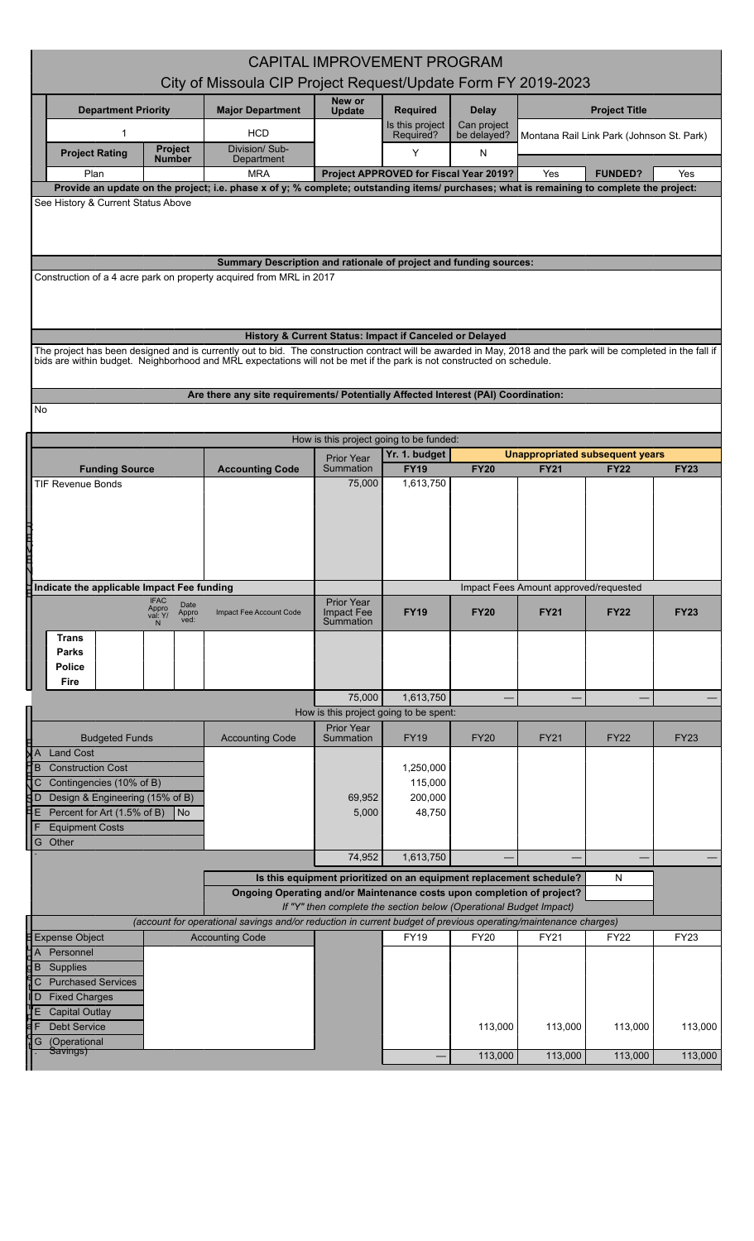| <b>CAPITAL IMPROVEMENT PROGRAM</b>                                                                                                                                                                                                                                                       |                                                                                    |                                                                     |                                        |                            |                                       |                                                       |             |  |  |
|------------------------------------------------------------------------------------------------------------------------------------------------------------------------------------------------------------------------------------------------------------------------------------------|------------------------------------------------------------------------------------|---------------------------------------------------------------------|----------------------------------------|----------------------------|---------------------------------------|-------------------------------------------------------|-------------|--|--|
| City of Missoula CIP Project Request/Update Form FY 2019-2023                                                                                                                                                                                                                            |                                                                                    |                                                                     |                                        |                            |                                       |                                                       |             |  |  |
| <b>Department Priority</b>                                                                                                                                                                                                                                                               | <b>Major Department</b>                                                            | New or<br><b>Update</b>                                             | <b>Required</b>                        | <b>Delay</b>               |                                       | <b>Project Title</b>                                  |             |  |  |
| 1                                                                                                                                                                                                                                                                                        | <b>HCD</b>                                                                         |                                                                     | Is this project<br>Required?           | Can project<br>be delayed? |                                       | Montana Rail Link Park (Johnson St. Park)             |             |  |  |
| <b>Project</b><br><b>Project Rating</b><br><b>Number</b>                                                                                                                                                                                                                                 | Division/ Sub-<br>Department                                                       |                                                                     | Y                                      | N                          |                                       |                                                       |             |  |  |
| Plan<br>Provide an update on the project; i.e. phase x of y; % complete; outstanding items/ purchases; what is remaining to complete the project:                                                                                                                                        | <b>MRA</b>                                                                         |                                                                     | Project APPROVED for Fiscal Year 2019? |                            | Yes                                   | <b>FUNDED?</b>                                        | Yes         |  |  |
| See History & Current Status Above                                                                                                                                                                                                                                                       |                                                                                    |                                                                     |                                        |                            |                                       |                                                       |             |  |  |
|                                                                                                                                                                                                                                                                                          |                                                                                    |                                                                     |                                        |                            |                                       |                                                       |             |  |  |
| Construction of a 4 acre park on property acquired from MRL in 2017                                                                                                                                                                                                                      | Summary Description and rationale of project and funding sources:                  |                                                                     |                                        |                            |                                       |                                                       |             |  |  |
|                                                                                                                                                                                                                                                                                          |                                                                                    |                                                                     |                                        |                            |                                       |                                                       |             |  |  |
|                                                                                                                                                                                                                                                                                          | History & Current Status: Impact if Canceled or Delayed                            |                                                                     |                                        |                            |                                       |                                                       |             |  |  |
| The project has been designed and is currently out to bid. The construction contract will be awarded in May, 2018 and the park will be completed in the fall if<br>bids are within budget. Neighborhood and MRL expectations will not be met if the park is not constructed on schedule. |                                                                                    |                                                                     |                                        |                            |                                       |                                                       |             |  |  |
|                                                                                                                                                                                                                                                                                          |                                                                                    |                                                                     |                                        |                            |                                       |                                                       |             |  |  |
|                                                                                                                                                                                                                                                                                          | Are there any site requirements/ Potentially Affected Interest (PAI) Coordination: |                                                                     |                                        |                            |                                       |                                                       |             |  |  |
| No                                                                                                                                                                                                                                                                                       |                                                                                    |                                                                     |                                        |                            |                                       |                                                       |             |  |  |
|                                                                                                                                                                                                                                                                                          |                                                                                    | How is this project going to be funded:                             |                                        |                            |                                       |                                                       |             |  |  |
| <b>Funding Source</b>                                                                                                                                                                                                                                                                    | <b>Accounting Code</b>                                                             | <b>Prior Year</b><br>Summation                                      | Yr. 1. budget<br><b>FY19</b>           | <b>FY20</b>                | <b>FY21</b>                           | <b>Unappropriated subsequent years</b><br><b>FY22</b> | <b>FY23</b> |  |  |
| TIF Revenue Bonds                                                                                                                                                                                                                                                                        |                                                                                    | 75,000                                                              | 1,613,750                              |                            |                                       |                                                       |             |  |  |
|                                                                                                                                                                                                                                                                                          |                                                                                    |                                                                     |                                        |                            |                                       |                                                       |             |  |  |
|                                                                                                                                                                                                                                                                                          |                                                                                    |                                                                     |                                        |                            |                                       |                                                       |             |  |  |
|                                                                                                                                                                                                                                                                                          |                                                                                    |                                                                     |                                        |                            |                                       |                                                       |             |  |  |
|                                                                                                                                                                                                                                                                                          |                                                                                    |                                                                     |                                        |                            |                                       |                                                       |             |  |  |
| Indicate the applicable Impact Fee funding<br><b>IFAC</b>                                                                                                                                                                                                                                |                                                                                    |                                                                     |                                        |                            | Impact Fees Amount approved/requested |                                                       |             |  |  |
| Date<br>Appro<br>val: Y/<br>Appro<br>ved:                                                                                                                                                                                                                                                | Impact Fee Account Code                                                            | <b>Prior Year</b><br>Impact Fee<br>Summation                        | <b>FY19</b>                            | <b>FY20</b>                | <b>FY21</b>                           | <b>FY22</b>                                           | <b>FY23</b> |  |  |
| <b>Trans</b>                                                                                                                                                                                                                                                                             |                                                                                    |                                                                     |                                        |                            |                                       |                                                       |             |  |  |
| Parks<br><b>Police</b>                                                                                                                                                                                                                                                                   |                                                                                    |                                                                     |                                        |                            |                                       |                                                       |             |  |  |
| Fire                                                                                                                                                                                                                                                                                     |                                                                                    |                                                                     |                                        |                            |                                       |                                                       |             |  |  |
|                                                                                                                                                                                                                                                                                          |                                                                                    | 75,000                                                              | 1,613,750                              |                            |                                       |                                                       |             |  |  |
|                                                                                                                                                                                                                                                                                          |                                                                                    | How is this project going to be spent:<br><b>Prior Year</b>         |                                        |                            |                                       |                                                       |             |  |  |
| <b>Budgeted Funds</b><br><b>Land Cost</b>                                                                                                                                                                                                                                                | <b>Accounting Code</b>                                                             | Summation                                                           | <b>FY19</b>                            | <b>FY20</b>                | FY21                                  | <b>FY22</b>                                           | <b>FY23</b> |  |  |
| $\frac{1}{\frac{1}{\frac{1}{\frac{1}{\frac{1}{\cdots}}}}}$<br><b>Construction Cost</b>                                                                                                                                                                                                   |                                                                                    |                                                                     | 1,250,000                              |                            |                                       |                                                       |             |  |  |
| łС<br>Contingencies (10% of B)<br>d p                                                                                                                                                                                                                                                    |                                                                                    | 69,952                                                              | 115,000                                |                            |                                       |                                                       |             |  |  |
| Design & Engineering (15% of B)<br>ĦЕ<br>Percent for Art (1.5% of B)<br>  No                                                                                                                                                                                                             |                                                                                    | 5,000                                                               | 200,000<br>48,750                      |                            |                                       |                                                       |             |  |  |
| <b>Equipment Costs</b>                                                                                                                                                                                                                                                                   |                                                                                    |                                                                     |                                        |                            |                                       |                                                       |             |  |  |
| G Other                                                                                                                                                                                                                                                                                  |                                                                                    | 74,952                                                              | 1,613,750                              |                            |                                       |                                                       |             |  |  |
|                                                                                                                                                                                                                                                                                          |                                                                                    | Is this equipment prioritized on an equipment replacement schedule? |                                        |                            |                                       | N                                                     |             |  |  |
|                                                                                                                                                                                                                                                                                          | Ongoing Operating and/or Maintenance costs upon completion of project?             |                                                                     |                                        |                            |                                       |                                                       |             |  |  |
| If "Y" then complete the section below (Operational Budget Impact)<br>(account for operational savings and/or reduction in current budget of previous operating/maintenance charges)                                                                                                     |                                                                                    |                                                                     |                                        |                            |                                       |                                                       |             |  |  |
| <b>Expense Object</b>                                                                                                                                                                                                                                                                    | <b>Accounting Code</b>                                                             |                                                                     | <b>FY19</b>                            | <b>FY20</b>                | <b>FY21</b>                           | <b>FY22</b>                                           | FY23        |  |  |
| $\overline{A}$<br>Personnel<br>dв<br>Supplies                                                                                                                                                                                                                                            |                                                                                    |                                                                     |                                        |                            |                                       |                                                       |             |  |  |
| C Purchased Services                                                                                                                                                                                                                                                                     |                                                                                    |                                                                     |                                        |                            |                                       |                                                       |             |  |  |
| l D<br><b>Fixed Charges</b>                                                                                                                                                                                                                                                              |                                                                                    |                                                                     |                                        |                            |                                       |                                                       |             |  |  |
| <b>Capital Outlay</b><br><b>Debt Service</b>                                                                                                                                                                                                                                             |                                                                                    |                                                                     |                                        | 113,000                    | 113,000                               | 113,000                                               | 113,000     |  |  |
| (Operational<br>G<br>Savings)                                                                                                                                                                                                                                                            |                                                                                    |                                                                     |                                        |                            |                                       |                                                       |             |  |  |
|                                                                                                                                                                                                                                                                                          |                                                                                    |                                                                     |                                        | 113,000                    | 113,000                               | 113,000                                               | 113,000     |  |  |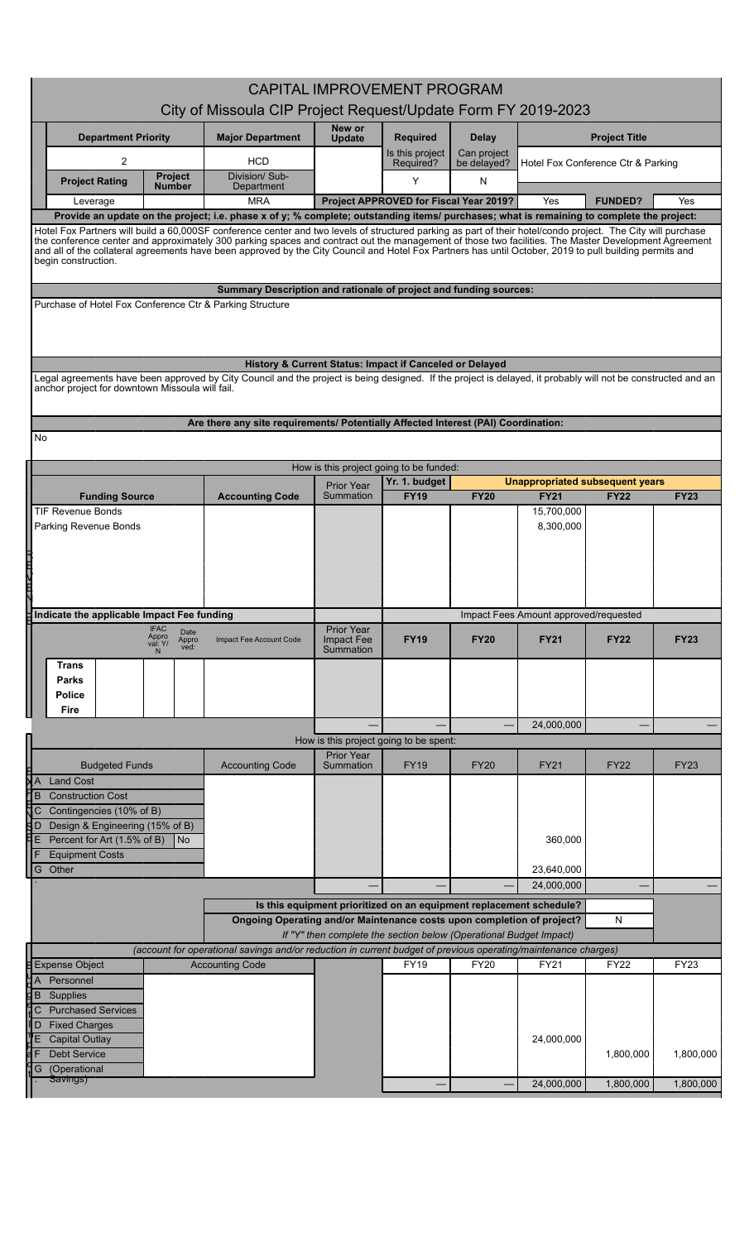|                                                           | <b>CAPITAL IMPROVEMENT PROGRAM</b>                                                                                                                                                                                                                                                                                                                                                                                                                                                                     |                                                                                                                                          |                                |                                                                     |                            |                                        |                                    |             |  |  |
|-----------------------------------------------------------|--------------------------------------------------------------------------------------------------------------------------------------------------------------------------------------------------------------------------------------------------------------------------------------------------------------------------------------------------------------------------------------------------------------------------------------------------------------------------------------------------------|------------------------------------------------------------------------------------------------------------------------------------------|--------------------------------|---------------------------------------------------------------------|----------------------------|----------------------------------------|------------------------------------|-------------|--|--|
|                                                           | City of Missoula CIP Project Request/Update Form FY 2019-2023                                                                                                                                                                                                                                                                                                                                                                                                                                          |                                                                                                                                          |                                |                                                                     |                            |                                        |                                    |             |  |  |
|                                                           | <b>Department Priority</b>                                                                                                                                                                                                                                                                                                                                                                                                                                                                             | <b>Major Department</b>                                                                                                                  | New or<br><b>Update</b>        | <b>Required</b>                                                     | Delay                      |                                        | <b>Project Title</b>               |             |  |  |
|                                                           | $\overline{2}$                                                                                                                                                                                                                                                                                                                                                                                                                                                                                         | <b>HCD</b>                                                                                                                               |                                | Is this project<br>Required?                                        | Can project<br>be delayed? |                                        | Hotel Fox Conference Ctr & Parking |             |  |  |
|                                                           | Project<br><b>Project Rating</b><br>Number                                                                                                                                                                                                                                                                                                                                                                                                                                                             | Division/Sub-<br>Department                                                                                                              |                                | Y                                                                   | N                          |                                        |                                    |             |  |  |
|                                                           | Leverage                                                                                                                                                                                                                                                                                                                                                                                                                                                                                               | <b>MRA</b>                                                                                                                               |                                | Project APPROVED for Fiscal Year 2019?                              |                            | Yes                                    | <b>FUNDED?</b>                     | <b>Yes</b>  |  |  |
|                                                           | Provide an update on the project; i.e. phase x of y; % complete; outstanding items/ purchases; what is remaining to complete the project:                                                                                                                                                                                                                                                                                                                                                              |                                                                                                                                          |                                |                                                                     |                            |                                        |                                    |             |  |  |
|                                                           | Hotel Fox Partners will build a 60,000SF conference center and two levels of structured parking as part of their hotel/condo project. The City will purchase<br>the conference center and approximately 300 parking spaces and contract out the management of those two facilities. The Master Development Agreement<br>and all of the collateral agreements have been approved by the City Council and Hotel Fox Partners has until October, 2019 to pull building permits and<br>begin construction. |                                                                                                                                          |                                |                                                                     |                            |                                        |                                    |             |  |  |
|                                                           |                                                                                                                                                                                                                                                                                                                                                                                                                                                                                                        | Summary Description and rationale of project and funding sources:                                                                        |                                |                                                                     |                            |                                        |                                    |             |  |  |
|                                                           | Purchase of Hotel Fox Conference Ctr & Parking Structure                                                                                                                                                                                                                                                                                                                                                                                                                                               |                                                                                                                                          |                                |                                                                     |                            |                                        |                                    |             |  |  |
|                                                           | Legal agreements have been approved by City Council and the project is being designed. If the project is delayed, it probably will not be constructed and an                                                                                                                                                                                                                                                                                                                                           | History & Current Status: Impact if Canceled or Delayed                                                                                  |                                |                                                                     |                            |                                        |                                    |             |  |  |
|                                                           | anchor project for downtown Missoula will fail.                                                                                                                                                                                                                                                                                                                                                                                                                                                        |                                                                                                                                          |                                |                                                                     |                            |                                        |                                    |             |  |  |
|                                                           |                                                                                                                                                                                                                                                                                                                                                                                                                                                                                                        | Are there any site requirements/ Potentially Affected Interest (PAI) Coordination:                                                       |                                |                                                                     |                            |                                        |                                    |             |  |  |
| No.                                                       |                                                                                                                                                                                                                                                                                                                                                                                                                                                                                                        |                                                                                                                                          |                                |                                                                     |                            |                                        |                                    |             |  |  |
|                                                           |                                                                                                                                                                                                                                                                                                                                                                                                                                                                                                        |                                                                                                                                          |                                | How is this project going to be funded:                             |                            |                                        |                                    |             |  |  |
|                                                           |                                                                                                                                                                                                                                                                                                                                                                                                                                                                                                        |                                                                                                                                          | <b>Prior Year</b>              | Yr. 1. budget                                                       |                            | <b>Unappropriated subsequent years</b> |                                    |             |  |  |
|                                                           | <b>Funding Source</b><br><b>TIF Revenue Bonds</b>                                                                                                                                                                                                                                                                                                                                                                                                                                                      | <b>Accounting Code</b>                                                                                                                   | Summation                      | <b>FY19</b>                                                         | <b>FY20</b>                | <b>FY21</b><br>15,700,000              | <b>FY22</b>                        | <b>FY23</b> |  |  |
|                                                           | Parking Revenue Bonds                                                                                                                                                                                                                                                                                                                                                                                                                                                                                  |                                                                                                                                          |                                |                                                                     |                            | 8,300,000                              |                                    |             |  |  |
|                                                           |                                                                                                                                                                                                                                                                                                                                                                                                                                                                                                        |                                                                                                                                          |                                |                                                                     |                            |                                        |                                    |             |  |  |
|                                                           |                                                                                                                                                                                                                                                                                                                                                                                                                                                                                                        |                                                                                                                                          |                                |                                                                     |                            |                                        |                                    |             |  |  |
|                                                           |                                                                                                                                                                                                                                                                                                                                                                                                                                                                                                        |                                                                                                                                          |                                |                                                                     |                            |                                        |                                    |             |  |  |
|                                                           |                                                                                                                                                                                                                                                                                                                                                                                                                                                                                                        |                                                                                                                                          |                                |                                                                     |                            |                                        |                                    |             |  |  |
| Indicate the applicable Impact Fee funding<br><b>IFAC</b> |                                                                                                                                                                                                                                                                                                                                                                                                                                                                                                        |                                                                                                                                          | <b>Prior Year</b>              |                                                                     |                            | Impact Fees Amount approved/requested  |                                    |             |  |  |
|                                                           | Date<br>Appro<br>val: Y/<br>Appro<br>ved:<br>N                                                                                                                                                                                                                                                                                                                                                                                                                                                         | Impact Fee Account Code                                                                                                                  | Impact Fee<br>Summation        | <b>FY19</b>                                                         | <b>FY20</b>                | <b>FY21</b>                            | <b>FY22</b>                        | <b>FY23</b> |  |  |
|                                                           | Trans                                                                                                                                                                                                                                                                                                                                                                                                                                                                                                  |                                                                                                                                          |                                |                                                                     |                            |                                        |                                    |             |  |  |
|                                                           | Parks                                                                                                                                                                                                                                                                                                                                                                                                                                                                                                  |                                                                                                                                          |                                |                                                                     |                            |                                        |                                    |             |  |  |
|                                                           | <b>Police</b><br>Fire                                                                                                                                                                                                                                                                                                                                                                                                                                                                                  |                                                                                                                                          |                                |                                                                     |                            |                                        |                                    |             |  |  |
|                                                           |                                                                                                                                                                                                                                                                                                                                                                                                                                                                                                        |                                                                                                                                          |                                |                                                                     |                            | 24,000,000                             |                                    |             |  |  |
|                                                           |                                                                                                                                                                                                                                                                                                                                                                                                                                                                                                        |                                                                                                                                          |                                | How is this project going to be spent:                              |                            |                                        |                                    |             |  |  |
|                                                           | <b>Budgeted Funds</b>                                                                                                                                                                                                                                                                                                                                                                                                                                                                                  | <b>Accounting Code</b>                                                                                                                   | <b>Prior Year</b><br>Summation | <b>FY19</b>                                                         | <b>FY20</b>                | <b>FY21</b>                            | <b>FY22</b>                        | <b>FY23</b> |  |  |
| XА                                                        | <b>Land Cost</b>                                                                                                                                                                                                                                                                                                                                                                                                                                                                                       |                                                                                                                                          |                                |                                                                     |                            |                                        |                                    |             |  |  |
| Ħв                                                        | <b>Construction Cost</b>                                                                                                                                                                                                                                                                                                                                                                                                                                                                               |                                                                                                                                          |                                |                                                                     |                            |                                        |                                    |             |  |  |
|                                                           | C Contingencies (10% of B)<br>$\overline{3}$ D Design & Engineering (15% of B)                                                                                                                                                                                                                                                                                                                                                                                                                         |                                                                                                                                          |                                |                                                                     |                            |                                        |                                    |             |  |  |
| ĦЕ                                                        | Percent for Art (1.5% of B)<br> N <sub>O</sub>                                                                                                                                                                                                                                                                                                                                                                                                                                                         |                                                                                                                                          |                                |                                                                     |                            | 360,000                                |                                    |             |  |  |
|                                                           | <b>Equipment Costs</b>                                                                                                                                                                                                                                                                                                                                                                                                                                                                                 |                                                                                                                                          |                                |                                                                     |                            |                                        |                                    |             |  |  |
|                                                           | G Other                                                                                                                                                                                                                                                                                                                                                                                                                                                                                                |                                                                                                                                          |                                |                                                                     |                            | 23,640,000<br>24,000,000               |                                    |             |  |  |
|                                                           |                                                                                                                                                                                                                                                                                                                                                                                                                                                                                                        |                                                                                                                                          |                                | Is this equipment prioritized on an equipment replacement schedule? |                            |                                        |                                    |             |  |  |
|                                                           |                                                                                                                                                                                                                                                                                                                                                                                                                                                                                                        | Ongoing Operating and/or Maintenance costs upon completion of project?                                                                   |                                |                                                                     |                            |                                        | ${\sf N}$                          |             |  |  |
|                                                           |                                                                                                                                                                                                                                                                                                                                                                                                                                                                                                        |                                                                                                                                          |                                | If "Y" then complete the section below (Operational Budget Impact)  |                            |                                        |                                    |             |  |  |
|                                                           | <b>Expense Object</b>                                                                                                                                                                                                                                                                                                                                                                                                                                                                                  | (account for operational savings and/or reduction in current budget of previous operating/maintenance charges)<br><b>Accounting Code</b> |                                | <b>FY19</b>                                                         | <b>FY20</b>                | FY21                                   | <b>FY22</b>                        | <b>FY23</b> |  |  |
| $\overline{A}$                                            | Personnel                                                                                                                                                                                                                                                                                                                                                                                                                                                                                              |                                                                                                                                          |                                |                                                                     |                            |                                        |                                    |             |  |  |
| dв                                                        | Supplies<br>C Purchased Services                                                                                                                                                                                                                                                                                                                                                                                                                                                                       |                                                                                                                                          |                                |                                                                     |                            |                                        |                                    |             |  |  |
| l D                                                       | <b>Fixed Charges</b>                                                                                                                                                                                                                                                                                                                                                                                                                                                                                   |                                                                                                                                          |                                |                                                                     |                            |                                        |                                    |             |  |  |
|                                                           | <b>Capital Outlay</b>                                                                                                                                                                                                                                                                                                                                                                                                                                                                                  |                                                                                                                                          |                                |                                                                     |                            | 24,000,000                             |                                    |             |  |  |
|                                                           | Debt Service                                                                                                                                                                                                                                                                                                                                                                                                                                                                                           |                                                                                                                                          |                                |                                                                     |                            |                                        | 1,800,000                          | 1,800,000   |  |  |
| G                                                         | (Operational                                                                                                                                                                                                                                                                                                                                                                                                                                                                                           |                                                                                                                                          |                                |                                                                     |                            |                                        |                                    |             |  |  |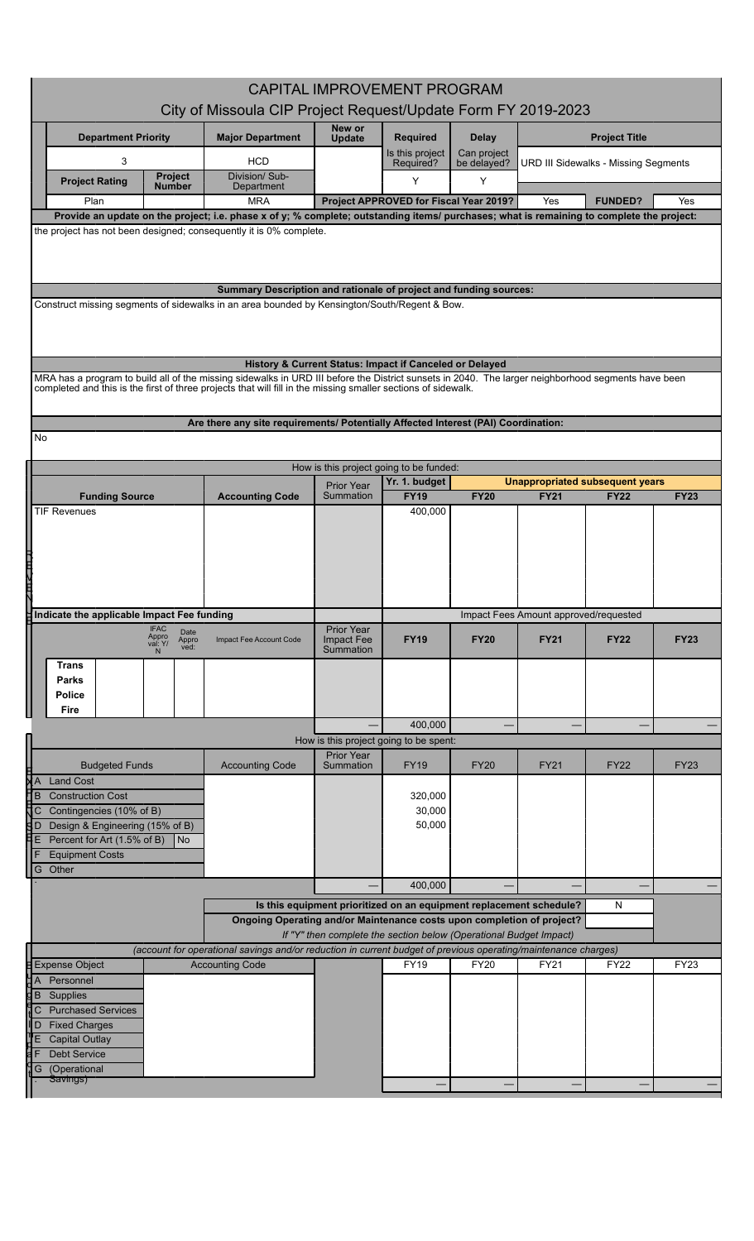| <b>CAPITAL IMPROVEMENT PROGRAM</b> |                                                                                                                                                                                                                                                                     |                                                                                                                |                                                                     |                                                                                                                                              |                            |                                       |                                                |             |  |  |
|------------------------------------|---------------------------------------------------------------------------------------------------------------------------------------------------------------------------------------------------------------------------------------------------------------------|----------------------------------------------------------------------------------------------------------------|---------------------------------------------------------------------|----------------------------------------------------------------------------------------------------------------------------------------------|----------------------------|---------------------------------------|------------------------------------------------|-------------|--|--|
|                                    |                                                                                                                                                                                                                                                                     |                                                                                                                |                                                                     | City of Missoula CIP Project Request/Update Form FY 2019-2023                                                                                |                            |                                       |                                                |             |  |  |
|                                    | <b>Department Priority</b>                                                                                                                                                                                                                                          | <b>Major Department</b>                                                                                        | New or<br><b>Update</b>                                             | <b>Required</b>                                                                                                                              | <b>Delay</b>               |                                       | <b>Project Title</b>                           |             |  |  |
|                                    | 3                                                                                                                                                                                                                                                                   | <b>HCD</b>                                                                                                     |                                                                     | Is this project<br>Required?                                                                                                                 | Can project<br>be delayed? |                                       | <b>URD III Sidewalks - Missing Segments</b>    |             |  |  |
|                                    | Project<br><b>Project Rating</b><br><b>Number</b>                                                                                                                                                                                                                   | Division/Sub-<br>Department                                                                                    |                                                                     | Y                                                                                                                                            | Y                          |                                       |                                                |             |  |  |
|                                    | Plan                                                                                                                                                                                                                                                                | <b>MRA</b>                                                                                                     |                                                                     | Project APPROVED for Fiscal Year 2019?                                                                                                       |                            | Yes                                   | <b>FUNDED?</b>                                 | Yes         |  |  |
|                                    | Provide an update on the project; i.e. phase x of y; % complete; outstanding items/ purchases; what is remaining to complete the project:                                                                                                                           |                                                                                                                |                                                                     |                                                                                                                                              |                            |                                       |                                                |             |  |  |
|                                    | the project has not been designed; consequently it is 0% complete.<br>Summary Description and rationale of project and funding sources:                                                                                                                             |                                                                                                                |                                                                     |                                                                                                                                              |                            |                                       |                                                |             |  |  |
|                                    | Construct missing segments of sidewalks in an area bounded by Kensington/South/Regent & Bow.                                                                                                                                                                        |                                                                                                                |                                                                     |                                                                                                                                              |                            |                                       |                                                |             |  |  |
|                                    |                                                                                                                                                                                                                                                                     | History & Current Status: Impact if Canceled or Delayed                                                        |                                                                     |                                                                                                                                              |                            |                                       |                                                |             |  |  |
|                                    | MRA has a program to build all of the missing sidewalks in URD III before the District sunsets in 2040. The larger neighborhood segments have been<br>completed and this is the first of three projects that will fill in the missing smaller sections of sidewalk. |                                                                                                                |                                                                     |                                                                                                                                              |                            |                                       |                                                |             |  |  |
|                                    |                                                                                                                                                                                                                                                                     |                                                                                                                |                                                                     |                                                                                                                                              |                            |                                       |                                                |             |  |  |
| No                                 |                                                                                                                                                                                                                                                                     | Are there any site requirements/ Potentially Affected Interest (PAI) Coordination:                             |                                                                     |                                                                                                                                              |                            |                                       |                                                |             |  |  |
|                                    |                                                                                                                                                                                                                                                                     |                                                                                                                |                                                                     |                                                                                                                                              |                            |                                       |                                                |             |  |  |
|                                    |                                                                                                                                                                                                                                                                     |                                                                                                                | How is this project going to be funded:                             |                                                                                                                                              |                            |                                       |                                                |             |  |  |
|                                    | <b>Funding Source</b>                                                                                                                                                                                                                                               | <b>Accounting Code</b>                                                                                         | <b>Prior Year</b><br>Summation                                      | Yr. 1. budget<br><b>FY19</b>                                                                                                                 | <b>FY20</b>                | <b>FY21</b>                           | Unappropriated subsequent years<br><b>FY22</b> | <b>FY23</b> |  |  |
|                                    | <b>TIF Revenues</b>                                                                                                                                                                                                                                                 |                                                                                                                |                                                                     | 400,000                                                                                                                                      |                            |                                       |                                                |             |  |  |
|                                    |                                                                                                                                                                                                                                                                     |                                                                                                                |                                                                     |                                                                                                                                              |                            |                                       |                                                |             |  |  |
|                                    |                                                                                                                                                                                                                                                                     |                                                                                                                |                                                                     |                                                                                                                                              |                            |                                       |                                                |             |  |  |
|                                    |                                                                                                                                                                                                                                                                     |                                                                                                                |                                                                     |                                                                                                                                              |                            |                                       |                                                |             |  |  |
|                                    |                                                                                                                                                                                                                                                                     |                                                                                                                |                                                                     |                                                                                                                                              |                            |                                       |                                                |             |  |  |
|                                    | $\sharp$ Indicate the applicable Impact Fee funding                                                                                                                                                                                                                 |                                                                                                                |                                                                     |                                                                                                                                              |                            | Impact Fees Amount approved/requested |                                                |             |  |  |
|                                    | IFAC<br>Appro<br>Date                                                                                                                                                                                                                                               |                                                                                                                | <b>Prior Year</b>                                                   |                                                                                                                                              |                            |                                       |                                                |             |  |  |
|                                    | Appro<br>ved:<br>val: Y/                                                                                                                                                                                                                                            | Impact Fee Account Code                                                                                        | Impact Fee<br>Summation                                             | <b>FY19</b>                                                                                                                                  | <b>FY20</b>                | <b>FY21</b>                           | <b>FY22</b>                                    | <b>FY23</b> |  |  |
|                                    | Trans                                                                                                                                                                                                                                                               |                                                                                                                |                                                                     |                                                                                                                                              |                            |                                       |                                                |             |  |  |
|                                    | <b>Parks</b><br><b>Police</b>                                                                                                                                                                                                                                       |                                                                                                                |                                                                     |                                                                                                                                              |                            |                                       |                                                |             |  |  |
|                                    | Fire                                                                                                                                                                                                                                                                |                                                                                                                |                                                                     |                                                                                                                                              |                            |                                       |                                                |             |  |  |
|                                    |                                                                                                                                                                                                                                                                     |                                                                                                                |                                                                     | 400,000                                                                                                                                      |                            |                                       |                                                |             |  |  |
|                                    |                                                                                                                                                                                                                                                                     |                                                                                                                | How is this project going to be spent:<br><b>Prior Year</b>         |                                                                                                                                              |                            |                                       |                                                |             |  |  |
|                                    | <b>Budgeted Funds</b>                                                                                                                                                                                                                                               | <b>Accounting Code</b>                                                                                         | Summation                                                           | <b>FY19</b>                                                                                                                                  | <b>FY20</b>                | <b>FY21</b>                           | <b>FY22</b>                                    | <b>FY23</b> |  |  |
| XА<br>ÌВ                           | <b>Land Cost</b><br><b>Construction Cost</b>                                                                                                                                                                                                                        |                                                                                                                |                                                                     | 320,000                                                                                                                                      |                            |                                       |                                                |             |  |  |
| C                                  | Contingencies (10% of B)                                                                                                                                                                                                                                            |                                                                                                                |                                                                     | 30,000                                                                                                                                       |                            |                                       |                                                |             |  |  |
| d p                                | Design & Engineering (15% of B)                                                                                                                                                                                                                                     |                                                                                                                |                                                                     | 50,000                                                                                                                                       |                            |                                       |                                                |             |  |  |
| E                                  | Percent for Art (1.5% of B)<br>  No                                                                                                                                                                                                                                 |                                                                                                                |                                                                     |                                                                                                                                              |                            |                                       |                                                |             |  |  |
| G                                  | <b>Equipment Costs</b><br>Other                                                                                                                                                                                                                                     |                                                                                                                |                                                                     |                                                                                                                                              |                            |                                       |                                                |             |  |  |
|                                    |                                                                                                                                                                                                                                                                     |                                                                                                                |                                                                     | 400,000                                                                                                                                      |                            |                                       |                                                |             |  |  |
|                                    |                                                                                                                                                                                                                                                                     |                                                                                                                | Is this equipment prioritized on an equipment replacement schedule? |                                                                                                                                              |                            |                                       | N                                              |             |  |  |
|                                    |                                                                                                                                                                                                                                                                     |                                                                                                                |                                                                     | Ongoing Operating and/or Maintenance costs upon completion of project?<br>If "Y" then complete the section below (Operational Budget Impact) |                            |                                       |                                                |             |  |  |
|                                    |                                                                                                                                                                                                                                                                     | (account for operational savings and/or reduction in current budget of previous operating/maintenance charges) |                                                                     |                                                                                                                                              |                            |                                       |                                                |             |  |  |
|                                    | <b>Expense Object</b>                                                                                                                                                                                                                                               | <b>Accounting Code</b>                                                                                         |                                                                     | <b>FY19</b>                                                                                                                                  | <b>FY20</b>                | <b>FY21</b>                           | FY22                                           | FY23        |  |  |
| $\overline{A}$<br>B                | Personnel<br>Supplies                                                                                                                                                                                                                                               |                                                                                                                |                                                                     |                                                                                                                                              |                            |                                       |                                                |             |  |  |
| C                                  | <b>Purchased Services</b>                                                                                                                                                                                                                                           |                                                                                                                |                                                                     |                                                                                                                                              |                            |                                       |                                                |             |  |  |
| D                                  | <b>Fixed Charges</b>                                                                                                                                                                                                                                                |                                                                                                                |                                                                     |                                                                                                                                              |                            |                                       |                                                |             |  |  |
|                                    | <b>Capital Outlay</b><br>Debt Service                                                                                                                                                                                                                               |                                                                                                                |                                                                     |                                                                                                                                              |                            |                                       |                                                |             |  |  |
| G                                  | (Operational                                                                                                                                                                                                                                                        |                                                                                                                |                                                                     |                                                                                                                                              |                            |                                       |                                                |             |  |  |
|                                    | Savings)                                                                                                                                                                                                                                                            |                                                                                                                |                                                                     |                                                                                                                                              |                            |                                       |                                                |             |  |  |